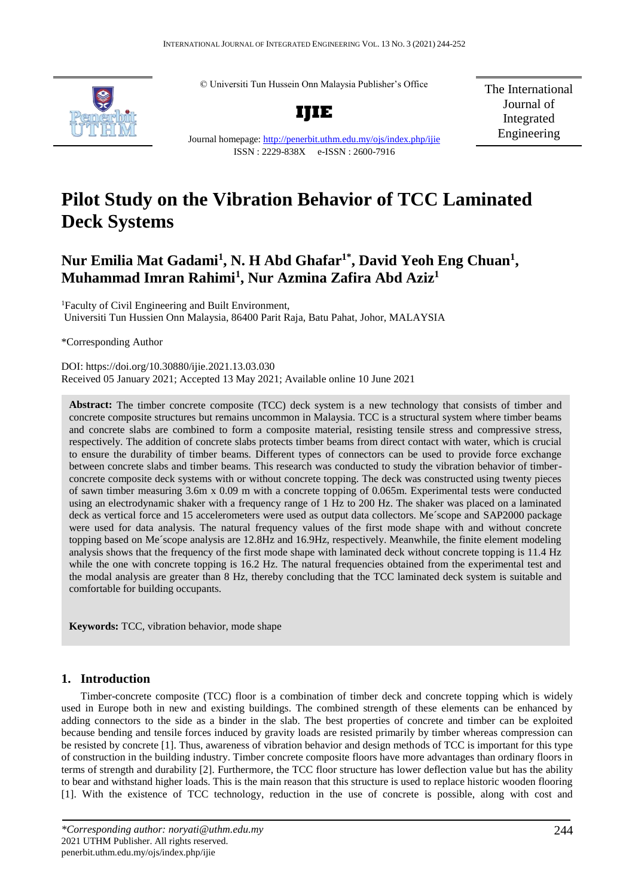© Universiti Tun Hussein Onn Malaysia Publisher's Office



**IJIE**

The International Journal of Integrated Engineering

Journal homepage:<http://penerbit.uthm.edu.my/ojs/index.php/ijie> ISSN : 2229-838X e-ISSN : 2600-7916

# **Pilot Study on the Vibration Behavior of TCC Laminated Deck Systems**

# **Nur Emilia Mat Gadami<sup>1</sup> , N. H Abd Ghafar1\*, David Yeoh Eng Chuan<sup>1</sup> , Muhammad Imran Rahimi<sup>1</sup> , Nur Azmina Zafira Abd Aziz<sup>1</sup>**

<sup>1</sup>Faculty of Civil Engineering and Built Environment, Universiti Tun Hussien Onn Malaysia, 86400 Parit Raja, Batu Pahat, Johor, MALAYSIA

\*Corresponding Author

DOI: https://doi.org/10.30880/ijie.2021.13.03.030 Received 05 January 2021; Accepted 13 May 2021; Available online 10 June 2021

**Abstract:** The timber concrete composite (TCC) deck system is a new technology that consists of timber and concrete composite structures but remains uncommon in Malaysia. TCC is a structural system where timber beams and concrete slabs are combined to form a composite material, resisting tensile stress and compressive stress, respectively. The addition of concrete slabs protects timber beams from direct contact with water, which is crucial to ensure the durability of timber beams. Different types of connectors can be used to provide force exchange between concrete slabs and timber beams. This research was conducted to study the vibration behavior of timberconcrete composite deck systems with or without concrete topping. The deck was constructed using twenty pieces of sawn timber measuring 3.6m x 0.09 m with a concrete topping of 0.065m. Experimental tests were conducted using an electrodynamic shaker with a frequency range of 1 Hz to 200 Hz. The shaker was placed on a laminated deck as vertical force and 15 accelerometers were used as output data collectors. Me´scope and SAP2000 package were used for data analysis. The natural frequency values of the first mode shape with and without concrete topping based on Me´scope analysis are 12.8Hz and 16.9Hz, respectively. Meanwhile, the finite element modeling analysis shows that the frequency of the first mode shape with laminated deck without concrete topping is 11.4 Hz while the one with concrete topping is 16.2 Hz. The natural frequencies obtained from the experimental test and the modal analysis are greater than 8 Hz, thereby concluding that the TCC laminated deck system is suitable and comfortable for building occupants.

**Keywords:** TCC, vibration behavior, mode shape

# **1. Introduction**

Timber-concrete composite (TCC) floor is a combination of timber deck and concrete topping which is widely used in Europe both in new and existing buildings. The combined strength of these elements can be enhanced by adding connectors to the side as a binder in the slab. The best properties of concrete and timber can be exploited because bending and tensile forces induced by gravity loads are resisted primarily by timber whereas compression can be resisted by concrete [1]. Thus, awareness of vibration behavior and design methods of TCC is important for this type of construction in the building industry. Timber concrete composite floors have more advantages than ordinary floors in terms of strength and durability [2]. Furthermore, the TCC floor structure has lower deflection value but has the ability to bear and withstand higher loads. This is the main reason that this structure is used to replace historic wooden flooring [1]. With the existence of TCC technology, reduction in the use of concrete is possible, along with cost and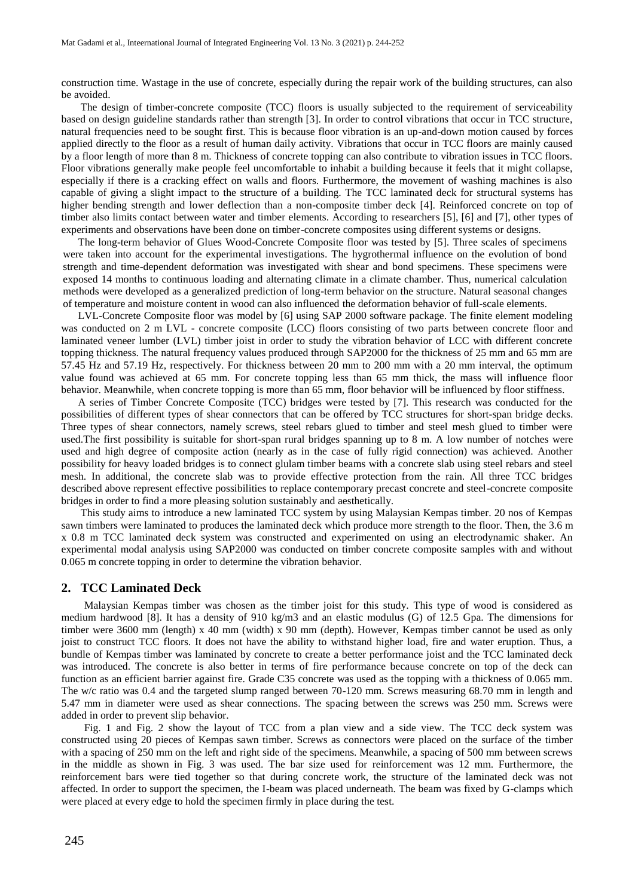construction time. Wastage in the use of concrete, especially during the repair work of the building structures, can also be avoided.

The design of timber-concrete composite (TCC) floors is usually subjected to the requirement of serviceability based on design guideline standards rather than strength [3]. In order to control vibrations that occur in TCC structure, natural frequencies need to be sought first. This is because floor vibration is an up-and-down motion caused by forces applied directly to the floor as a result of human daily activity. Vibrations that occur in TCC floors are mainly caused by a floor length of more than 8 m. Thickness of concrete topping can also contribute to vibration issues in TCC floors. Floor vibrations generally make people feel uncomfortable to inhabit a building because it feels that it might collapse, especially if there is a cracking effect on walls and floors. Furthermore, the movement of washing machines is also capable of giving a slight impact to the structure of a building. The TCC laminated deck for structural systems has higher bending strength and lower deflection than a non-composite timber deck [4]. Reinforced concrete on top of timber also limits contact between water and timber elements. According to researchers [5], [6] and [7], other types of experiments and observations have been done on timber-concrete composites using different systems or designs.

The long-term behavior of Glues Wood-Concrete Composite floor was tested by [5]. Three scales of specimens were taken into account for the experimental investigations. The hygrothermal influence on the evolution of bond strength and time-dependent deformation was investigated with shear and bond specimens. These specimens were exposed 14 months to continuous loading and alternating climate in a climate chamber. Thus, numerical calculation methods were developed as a generalized prediction of long-term behavior on the structure. Natural seasonal changes of temperature and moisture content in wood can also influenced the deformation behavior of full-scale elements.

LVL-Concrete Composite floor was model by [6] using SAP 2000 software package. The finite element modeling was conducted on 2 m LVL - concrete composite (LCC) floors consisting of two parts between concrete floor and laminated veneer lumber (LVL) timber joist in order to study the vibration behavior of LCC with different concrete topping thickness. The natural frequency values produced through SAP2000 for the thickness of 25 mm and 65 mm are 57.45 Hz and 57.19 Hz, respectively. For thickness between 20 mm to 200 mm with a 20 mm interval, the optimum value found was achieved at 65 mm. For concrete topping less than 65 mm thick, the mass will influence floor behavior. Meanwhile, when concrete topping is more than 65 mm, floor behavior will be influenced by floor stiffness.

A series of Timber Concrete Composite (TCC) bridges were tested by [7]. This research was conducted for the possibilities of different types of shear connectors that can be offered by TCC structures for short-span bridge decks. Three types of shear connectors, namely screws, steel rebars glued to timber and steel mesh glued to timber were used.The first possibility is suitable for short-span rural bridges spanning up to 8 m. A low number of notches were used and high degree of composite action (nearly as in the case of fully rigid connection) was achieved. Another possibility for heavy loaded bridges is to connect glulam timber beams with a concrete slab using steel rebars and steel mesh. In additional, the concrete slab was to provide effective protection from the rain. All three TCC bridges described above represent effective possibilities to replace contemporary precast concrete and steel-concrete composite bridges in order to find a more pleasing solution sustainably and aesthetically.

This study aims to introduce a new laminated TCC system by using Malaysian Kempas timber. 20 nos of Kempas sawn timbers were laminated to produces the laminated deck which produce more strength to the floor. Then, the 3.6 m x 0.8 m TCC laminated deck system was constructed and experimented on using an electrodynamic shaker. An experimental modal analysis using SAP2000 was conducted on timber concrete composite samples with and without 0.065 m concrete topping in order to determine the vibration behavior.

#### **2. TCC Laminated Deck**

Malaysian Kempas timber was chosen as the timber joist for this study. This type of wood is considered as medium hardwood [8]. It has a density of 910 kg/m3 and an elastic modulus (G) of 12.5 Gpa. The dimensions for timber were 3600 mm (length) x 40 mm (width) x 90 mm (depth). However, Kempas timber cannot be used as only joist to construct TCC floors. It does not have the ability to withstand higher load, fire and water eruption. Thus, a bundle of Kempas timber was laminated by concrete to create a better performance joist and the TCC laminated deck was introduced. The concrete is also better in terms of fire performance because concrete on top of the deck can function as an efficient barrier against fire. Grade C35 concrete was used as the topping with a thickness of 0.065 mm. The w/c ratio was 0.4 and the targeted slump ranged between 70-120 mm. Screws measuring 68.70 mm in length and 5.47 mm in diameter were used as shear connections. The spacing between the screws was 250 mm. Screws were added in order to prevent slip behavior.

Fig. 1 and Fig. 2 show the layout of TCC from a plan view and a side view. The TCC deck system was constructed using 20 pieces of Kempas sawn timber. Screws as connectors were placed on the surface of the timber with a spacing of 250 mm on the left and right side of the specimens. Meanwhile, a spacing of 500 mm between screws in the middle as shown in Fig. 3 was used. The bar size used for reinforcement was 12 mm. Furthermore, the reinforcement bars were tied together so that during concrete work, the structure of the laminated deck was not affected. In order to support the specimen, the I-beam was placed underneath. The beam was fixed by G-clamps which were placed at every edge to hold the specimen firmly in place during the test.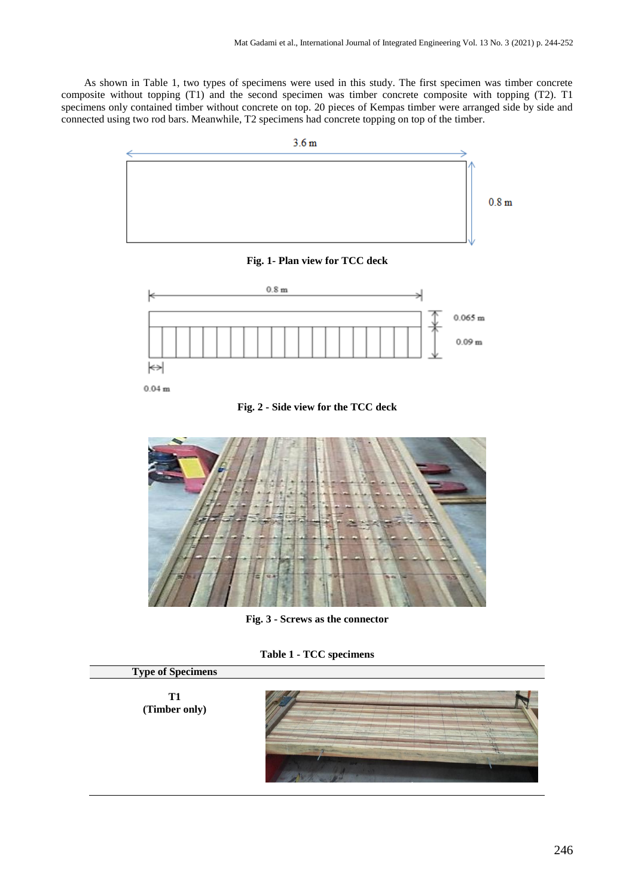As shown in Table 1, two types of specimens were used in this study. The first specimen was timber concrete composite without topping (T1) and the second specimen was timber concrete composite with topping (T2). T1 specimens only contained timber without concrete on top. 20 pieces of Kempas timber were arranged side by side and connected using two rod bars. Meanwhile, T2 specimens had concrete topping on top of the timber.



 $\leftrightarrow$  $0.04<sub>m</sub>$ 

**Fig. 2 - Side view for the TCC deck**



**Fig. 3 - Screws as the connector**

**Table 1 - TCC specimens**

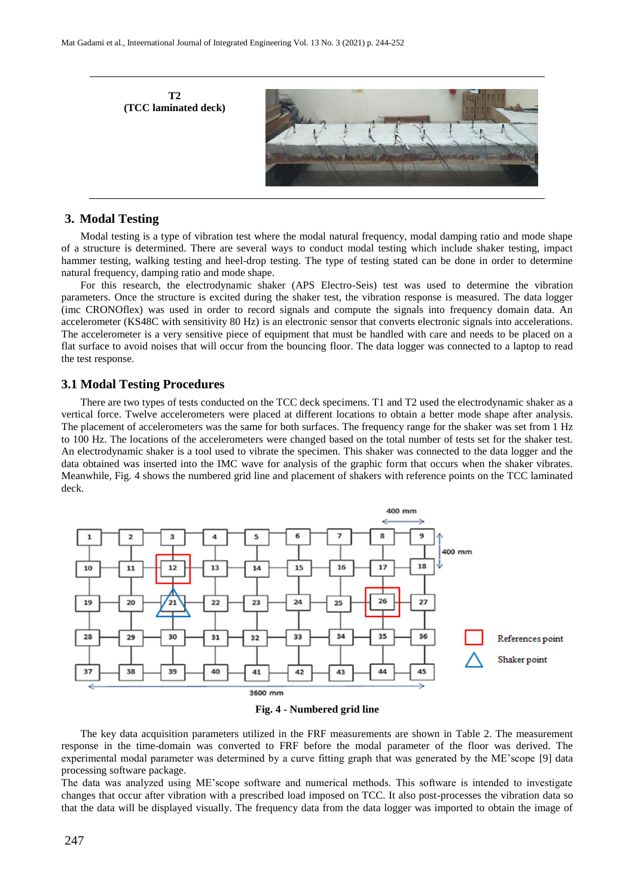

## **3. Modal Testing**

Modal testing is a type of vibration test where the modal natural frequency, modal damping ratio and mode shape of a structure is determined. There are several ways to conduct modal testing which include shaker testing, impact hammer testing, walking testing and heel-drop testing. The type of testing stated can be done in order to determine natural frequency, damping ratio and mode shape.

For this research, the electrodynamic shaker (APS Electro-Seis) test was used to determine the vibration parameters. Once the structure is excited during the shaker test, the vibration response is measured. The data logger (imc CRONOflex) was used in order to record signals and compute the signals into frequency domain data. An accelerometer (KS48C with sensitivity 80 Hz) is an electronic sensor that converts electronic signals into accelerations. The accelerometer is a very sensitive piece of equipment that must be handled with care and needs to be placed on a flat surface to avoid noises that will occur from the bouncing floor. The data logger was connected to a laptop to read the test response.

#### **3.1 Modal Testing Procedures**

There are two types of tests conducted on the TCC deck specimens. T1 and T2 used the electrodynamic shaker as a vertical force. Twelve accelerometers were placed at different locations to obtain a better mode shape after analysis. The placement of accelerometers was the same for both surfaces. The frequency range for the shaker was set from 1 Hz to 100 Hz. The locations of the accelerometers were changed based on the total number of tests set for the shaker test. An electrodynamic shaker is a tool used to vibrate the specimen. This shaker was connected to the data logger and the data obtained was inserted into the IMC wave for analysis of the graphic form that occurs when the shaker vibrates. Meanwhile, Fig. 4 shows the numbered grid line and placement of shakers with reference points on the TCC laminated deck.





The key data acquisition parameters utilized in the FRF measurements are shown in Table 2. The measurement response in the time-domain was converted to FRF before the modal parameter of the floor was derived. The experimental modal parameter was determined by a curve fitting graph that was generated by the ME'scope [9] data processing software package.

The data was analyzed using ME'scope software and numerical methods. This software is intended to investigate changes that occur after vibration with a prescribed load imposed on TCC. It also post-processes the vibration data so that the data will be displayed visually. The frequency data from the data logger was imported to obtain the image of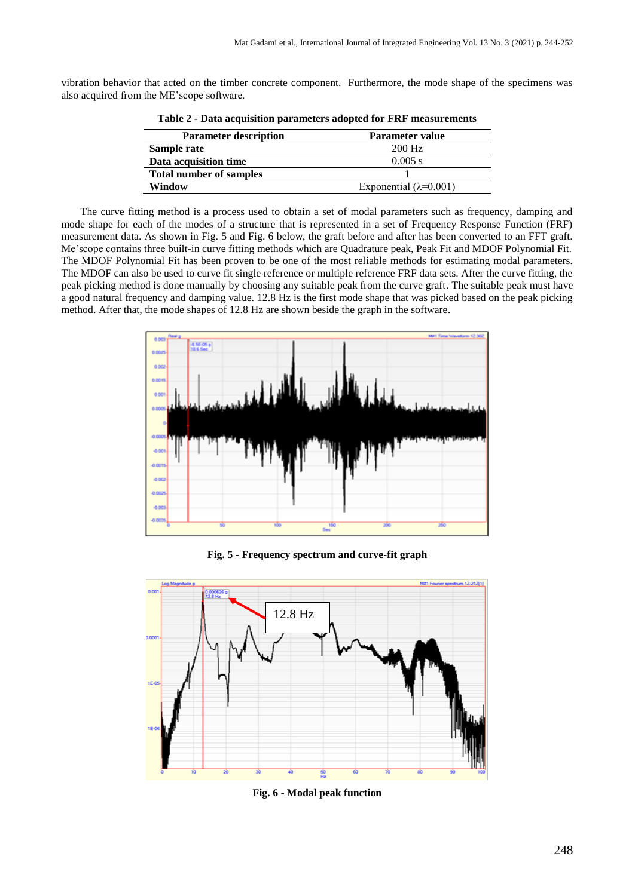vibration behavior that acted on the timber concrete component. Furthermore, the mode shape of the specimens was also acquired from the ME'scope software.

| <b>Parameter description</b>   | Parameter value                 |
|--------------------------------|---------------------------------|
| Sample rate                    | $200$ Hz                        |
| Data acquisition time          | $0.005$ s                       |
| <b>Total number of samples</b> |                                 |
| Window                         | Exponential ( $\lambda$ =0.001) |

**Table 2 - Data acquisition parameters adopted for FRF measurements**

The curve fitting method is a process used to obtain a set of modal parameters such as frequency, damping and mode shape for each of the modes of a structure that is represented in a set of Frequency Response Function (FRF) measurement data. As shown in Fig. 5 and Fig. 6 below, the graft before and after has been converted to an FFT graft. Me'scope contains three built-in curve fitting methods which are Quadrature peak, Peak Fit and MDOF Polynomial Fit. The MDOF Polynomial Fit has been proven to be one of the most reliable methods for estimating modal parameters. The MDOF can also be used to curve fit single reference or multiple reference FRF data sets. After the curve fitting, the peak picking method is done manually by choosing any suitable peak from the curve graft. The suitable peak must have a good natural frequency and damping value. 12.8 Hz is the first mode shape that was picked based on the peak picking method. After that, the mode shapes of 12.8 Hz are shown beside the graph in the software.



**Fig. 5 - Frequency spectrum and curve-fit graph**



**Fig. 6 - Modal peak function**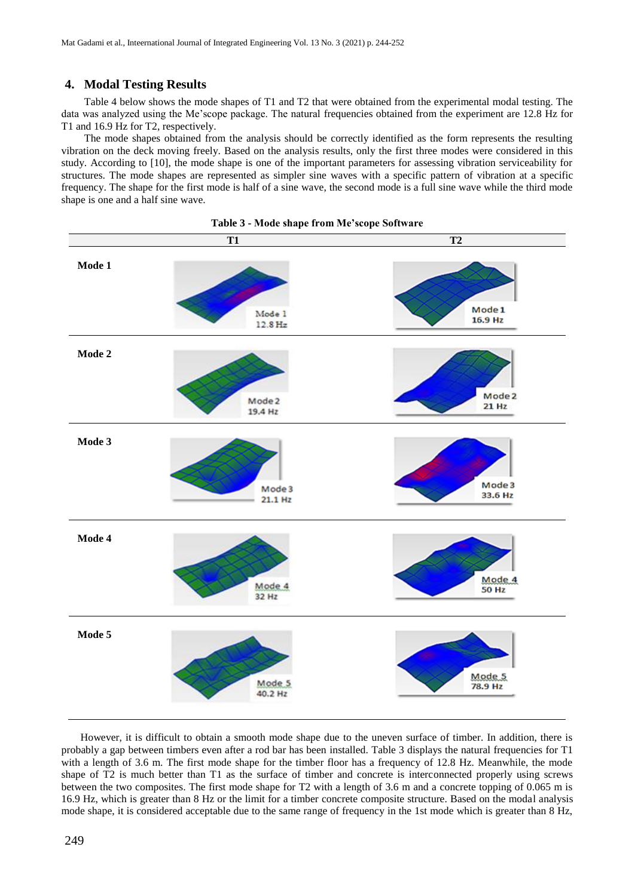# **4. Modal Testing Results**

Table 4 below shows the mode shapes of T1 and T2 that were obtained from the experimental modal testing. The data was analyzed using the Me'scope package. The natural frequencies obtained from the experiment are 12.8 Hz for T1 and 16.9 Hz for T2, respectively.

The mode shapes obtained from the analysis should be correctly identified as the form represents the resulting vibration on the deck moving freely. Based on the analysis results, only the first three modes were considered in this study. According to [10], the mode shape is one of the important parameters for assessing vibration serviceability for structures. The mode shapes are represented as simpler sine waves with a specific pattern of vibration at a specific frequency. The shape for the first mode is half of a sine wave, the second mode is a full sine wave while the third mode shape is one and a half sine wave.





However, it is difficult to obtain a smooth mode shape due to the uneven surface of timber. In addition, there is probably a gap between timbers even after a rod bar has been installed. Table 3 displays the natural frequencies for T1 with a length of 3.6 m. The first mode shape for the timber floor has a frequency of 12.8 Hz. Meanwhile, the mode shape of T2 is much better than T1 as the surface of timber and concrete is interconnected properly using screws between the two composites. The first mode shape for T2 with a length of 3.6 m and a concrete topping of 0.065 m is 16.9 Hz, which is greater than 8 Hz or the limit for a timber concrete composite structure. Based on the modal analysis mode shape, it is considered acceptable due to the same range of frequency in the 1st mode which is greater than 8 Hz,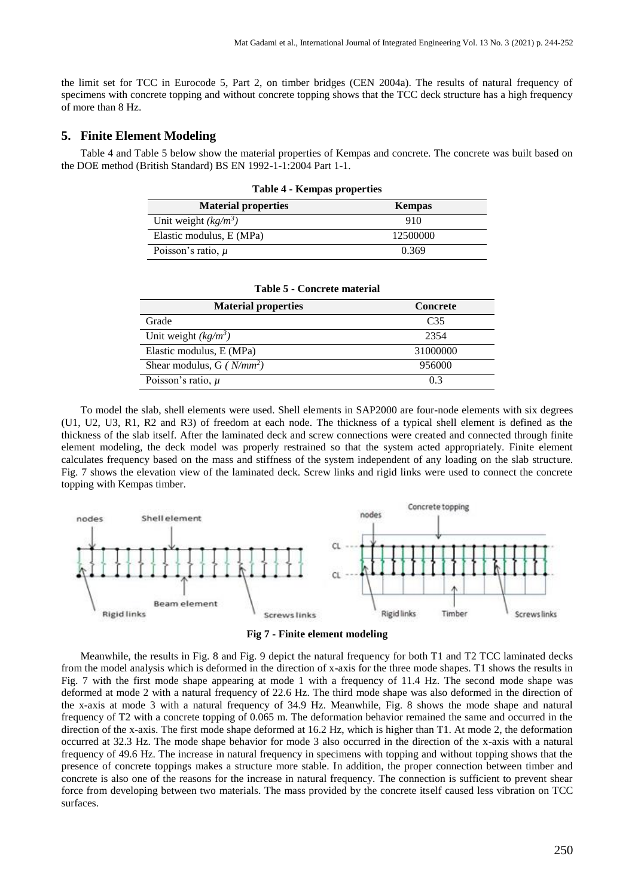the limit set for TCC in Eurocode 5, Part 2, on timber bridges (CEN 2004a). The results of natural frequency of specimens with concrete topping and without concrete topping shows that the TCC deck structure has a high frequency of more than 8 Hz.

# **5. Finite Element Modeling**

Table 4 and Table 5 below show the material properties of Kempas and concrete. The concrete was built based on the DOE method (British Standard) BS EN 1992-1-1:2004 Part 1-1.

| <b>Material properties</b> | <b>Kempas</b> |
|----------------------------|---------------|
| Unit weight $(kg/m^3)$     | 910           |
| Elastic modulus, E (MPa)   | 12500000      |
| Poisson's ratio, $\mu$     | 0.369         |

| <b>Table 4 - Kempas properties</b> |  |
|------------------------------------|--|
|------------------------------------|--|

| <b>Material properties</b>    | <b>Concrete</b> |
|-------------------------------|-----------------|
| Grade                         | C35             |
| Unit weight $(kg/m^3)$        | 2354            |
| Elastic modulus, E (MPa)      | 31000000        |
| Shear modulus, G ( $N/mm^2$ ) | 956000          |
| Poisson's ratio, $\mu$        | 03              |

#### **Table 5 - Concrete material**

To model the slab, shell elements were used. Shell elements in SAP2000 are four-node elements with six degrees (U1, U2, U3, R1, R2 and R3) of freedom at each node. The thickness of a typical shell element is defined as the thickness of the slab itself. After the laminated deck and screw connections were created and connected through finite element modeling, the deck model was properly restrained so that the system acted appropriately. Finite element calculates frequency based on the mass and stiffness of the system independent of any loading on the slab structure. Fig. 7 shows the elevation view of the laminated deck. Screw links and rigid links were used to connect the concrete topping with Kempas timber.





Meanwhile, the results in Fig. 8 and Fig. 9 depict the natural frequency for both T1 and T2 TCC laminated decks from the model analysis which is deformed in the direction of x-axis for the three mode shapes. T1 shows the results in Fig. 7 with the first mode shape appearing at mode 1 with a frequency of 11.4 Hz. The second mode shape was deformed at mode 2 with a natural frequency of 22.6 Hz. The third mode shape was also deformed in the direction of the x-axis at mode 3 with a natural frequency of 34.9 Hz. Meanwhile, Fig. 8 shows the mode shape and natural frequency of T2 with a concrete topping of 0.065 m. The deformation behavior remained the same and occurred in the direction of the x-axis. The first mode shape deformed at 16.2 Hz, which is higher than T1. At mode 2, the deformation occurred at 32.3 Hz. The mode shape behavior for mode 3 also occurred in the direction of the x-axis with a natural frequency of 49.6 Hz. The increase in natural frequency in specimens with topping and without topping shows that the presence of concrete toppings makes a structure more stable. In addition, the proper connection between timber and concrete is also one of the reasons for the increase in natural frequency. The connection is sufficient to prevent shear force from developing between two materials. The mass provided by the concrete itself caused less vibration on TCC surfaces.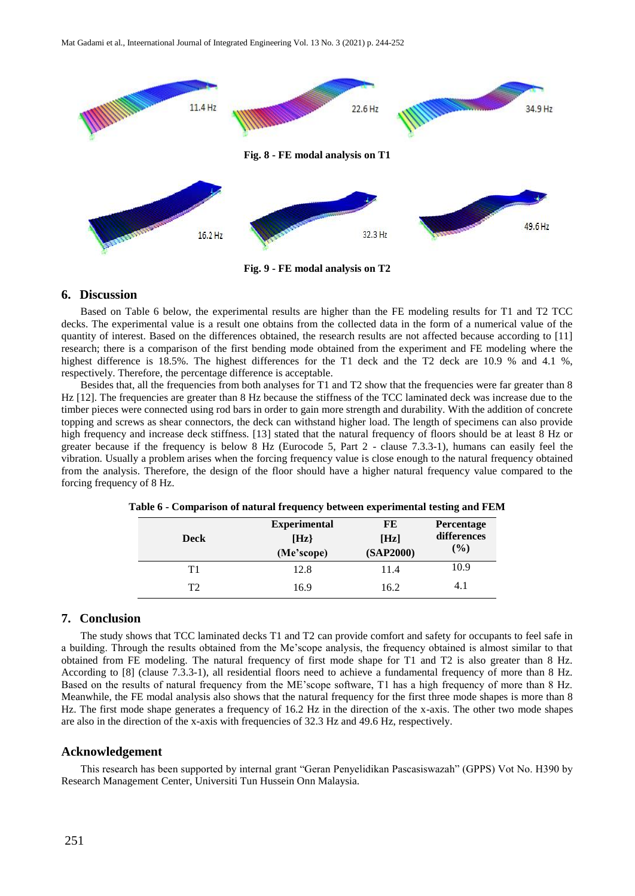

**Fig. 9 - FE modal analysis on T2**

### **6. Discussion**

Based on Table 6 below, the experimental results are higher than the FE modeling results for T1 and T2 TCC decks. The experimental value is a result one obtains from the collected data in the form of a numerical value of the quantity of interest. Based on the differences obtained, the research results are not affected because according to [11] research; there is a comparison of the first bending mode obtained from the experiment and FE modeling where the highest difference is 18.5%. The highest differences for the T1 deck and the T2 deck are 10.9 % and 4.1 %, respectively. Therefore, the percentage difference is acceptable.

Besides that, all the frequencies from both analyses for T1 and T2 show that the frequencies were far greater than 8 Hz [12]. The frequencies are greater than 8 Hz because the stiffness of the TCC laminated deck was increase due to the timber pieces were connected using rod bars in order to gain more strength and durability. With the addition of concrete topping and screws as shear connectors, the deck can withstand higher load. The length of specimens can also provide high frequency and increase deck stiffness. [13] stated that the natural frequency of floors should be at least 8 Hz or greater because if the frequency is below 8 Hz (Eurocode 5, Part 2 - clause 7.3.3-1), humans can easily feel the vibration. Usually a problem arises when the forcing frequency value is close enough to the natural frequency obtained from the analysis. Therefore, the design of the floor should have a higher natural frequency value compared to the forcing frequency of 8 Hz.

|             | <b>Experimental</b> | FE        | Percentage  |
|-------------|---------------------|-----------|-------------|
| <b>Deck</b> | [Hz]                | [Hz]      | differences |
|             | (Me'scope)          | (SAP2000) | $(\%)$      |
| Τ1          | 12.8                | 11.4      | 10.9        |
| T2          | 16.9                | 16.2      | 4.1         |

**Table 6 - Comparison of natural frequency between experimental testing and FEM**

#### **7. Conclusion**

The study shows that TCC laminated decks T1 and T2 can provide comfort and safety for occupants to feel safe in a building. Through the results obtained from the Me'scope analysis, the frequency obtained is almost similar to that obtained from FE modeling. The natural frequency of first mode shape for T1 and T2 is also greater than 8 Hz. According to [8] (clause 7.3.3-1), all residential floors need to achieve a fundamental frequency of more than 8 Hz. Based on the results of natural frequency from the ME'scope software, T1 has a high frequency of more than 8 Hz. Meanwhile, the FE modal analysis also shows that the natural frequency for the first three mode shapes is more than 8 Hz. The first mode shape generates a frequency of 16.2 Hz in the direction of the x-axis. The other two mode shapes are also in the direction of the x-axis with frequencies of 32.3 Hz and 49.6 Hz, respectively.

#### **Acknowledgement**

This research has been supported by internal grant "Geran Penyelidikan Pascasiswazah" (GPPS) Vot No. H390 by Research Management Center, Universiti Tun Hussein Onn Malaysia.